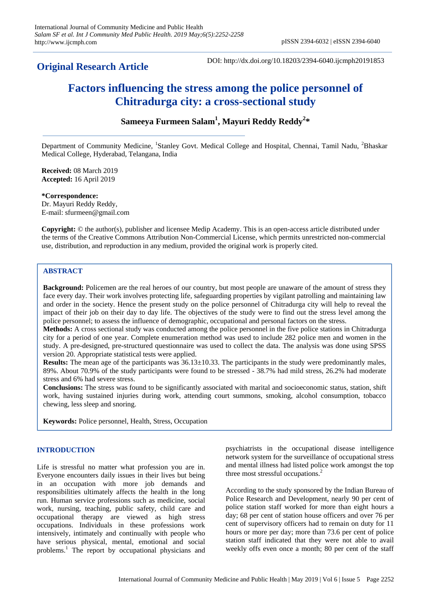# **Original Research Article**

DOI: http://dx.doi.org/10.18203/2394-6040.ijcmph20191853

# **Factors influencing the stress among the police personnel of Chitradurga city: a cross-sectional study**

# **Sameeya Furmeen Salam<sup>1</sup> , Mayuri Reddy Reddy<sup>2</sup> \***

Department of Community Medicine, <sup>1</sup>Stanley Govt. Medical College and Hospital, Chennai, Tamil Nadu, <sup>2</sup>Bhaskar Medical College, Hyderabad, Telangana, India

**Received:** 08 March 2019 **Accepted:** 16 April 2019

**\*Correspondence:** Dr. Mayuri Reddy Reddy, E-mail: sfurmeen@gmail.com

**Copyright:** © the author(s), publisher and licensee Medip Academy. This is an open-access article distributed under the terms of the Creative Commons Attribution Non-Commercial License, which permits unrestricted non-commercial use, distribution, and reproduction in any medium, provided the original work is properly cited.

#### **ABSTRACT**

**Background:** Policemen are the real heroes of our country, but most people are unaware of the amount of stress they face every day. Their work involves protecting life, safeguarding properties by vigilant patrolling and maintaining law and order in the society. Hence the present study on the police personnel of Chitradurga city will help to reveal the impact of their job on their day to day life. The objectives of the study were to find out the stress level among the police personnel; to assess the influence of demographic, occupational and personal factors on the stress.

**Methods:** A cross sectional study was conducted among the police personnel in the five police stations in Chitradurga city for a period of one year. Complete enumeration method was used to include 282 police men and women in the study. A pre-designed, pre-structured questionnaire was used to collect the data. The analysis was done using SPSS version 20. Appropriate statistical tests were applied.

**Results:** The mean age of the participants was 36.13±10.33. The participants in the study were predominantly males, 89%. About 70.9% of the study participants were found to be stressed - 38.7% had mild stress, 26.2% had moderate stress and 6% had severe stress.

**Conclusions:** The stress was found to be significantly associated with marital and socioeconomic status, station, shift work, having sustained injuries during work, attending court summons, smoking, alcohol consumption, tobacco chewing, less sleep and snoring.

**Keywords:** Police personnel, Health, Stress, Occupation

### **INTRODUCTION**

Life is stressful no matter what profession you are in. Everyone encounters daily issues in their lives but being in an occupation with more job demands and responsibilities ultimately affects the health in the long run. Human service professions such as medicine, social work, nursing, teaching, public safety, child care and occupational therapy are viewed as high stress occupations. Individuals in these professions work intensively, intimately and continually with people who have serious physical, mental, emotional and social problems.<sup>1</sup> The report by occupational physicians and psychiatrists in the occupational disease intelligence network system for the surveillance of occupational stress and mental illness had listed police work amongst the top three most stressful occupations.<sup>2</sup>

According to the study sponsored by the Indian Bureau of Police Research and Development, nearly 90 per cent of police station staff worked for more than eight hours a day; 68 per cent of station house officers and over 76 per cent of supervisory officers had to remain on duty for 11 hours or more per day; more than 73.6 per cent of police station staff indicated that they were not able to avail weekly offs even once a month; 80 per cent of the staff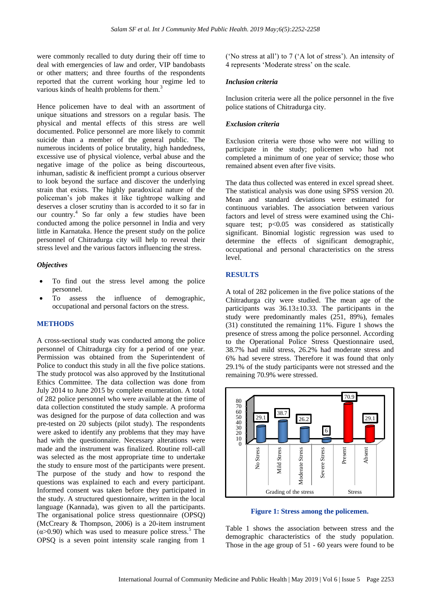were commonly recalled to duty during their off time to deal with emergencies of law and order, VIP bandobasts or other matters; and three fourths of the respondents reported that the current working hour regime led to various kinds of health problems for them.<sup>3</sup>

Hence policemen have to deal with an assortment of unique situations and stressors on a regular basis. The physical and mental effects of this stress are well documented. Police personnel are more likely to commit suicide than a member of the general public. The numerous incidents of police brutality, high handedness, excessive use of physical violence, verbal abuse and the negative image of the police as being discourteous, inhuman, sadistic & inefficient prompt a curious observer to look beyond the surface and discover the underlying strain that exists. The highly paradoxical nature of the policeman's job makes it like tightrope walking and deserves a closer scrutiny than is accorded to it so far in our country.<sup>4</sup> So far only a few studies have been conducted among the police personnel in India and very little in Karnataka. Hence the present study on the police personnel of Chitradurga city will help to reveal their stress level and the various factors influencing the stress.

#### *Objectives*

- To find out the stress level among the police personnel.
- To assess the influence of demographic, occupational and personal factors on the stress.

#### **METHODS**

A cross-sectional study was conducted among the police personnel of Chitradurga city for a period of one year. Permission was obtained from the Superintendent of Police to conduct this study in all the five police stations. The study protocol was also approved by the Institutional Ethics Committee. The data collection was done from July 2014 to June 2015 by complete enumeration. A total of 282 police personnel who were available at the time of data collection constituted the study sample. A proforma was designed for the purpose of data collection and was pre-tested on 20 subjects (pilot study). The respondents were asked to identify any problems that they may have had with the questionnaire. Necessary alterations were made and the instrument was finalized. Routine roll-call was selected as the most appropriate time to undertake the study to ensure most of the participants were present. The purpose of the study and how to respond the questions was explained to each and every participant. Informed consent was taken before they participated in the study. A structured questionnaire, written in the local language (Kannada), was given to all the participants. The organisational police stress questionnaire (OPSQ) (McCreary & Thompson, 2006) is a 20-item instrument  $(\alpha > 0.90)$  which was used to measure police stress.<sup>5</sup> The OPSQ is a seven point intensity scale ranging from 1

('No stress at all') to 7 ('A lot of stress'). An intensity of 4 represents 'Moderate stress' on the scale.

#### *Inclusion criteria*

Inclusion criteria were all the police personnel in the five police stations of Chitradurga city.

#### *Exclusion criteria*

Exclusion criteria were those who were not willing to participate in the study; policemen who had not completed a minimum of one year of service; those who remained absent even after five visits.

The data thus collected was entered in excel spread sheet. The statistical analysis was done using SPSS version 20. Mean and standard deviations were estimated for continuous variables. The association between various factors and level of stress were examined using the Chisquare test;  $p<0.05$  was considered as statistically significant. Binomial logistic regression was used to determine the effects of significant demographic, occupational and personal characteristics on the stress level.

#### **RESULTS**

A total of 282 policemen in the five police stations of the Chitradurga city were studied. The mean age of the participants was  $36.13 \pm 10.33$ . The participants in the study were predominantly males (251, 89%), females (31) constituted the remaining 11%. Figure 1 shows the presence of stress among the police personnel. According to the Operational Police Stress Questionnaire used, 38.7% had mild stress, 26.2% had moderate stress and 6% had severe stress. Therefore it was found that only 29.1% of the study participants were not stressed and the remaining 70.9% were stressed.



**Figure 1: Stress among the policemen.**

Table 1 shows the association between stress and the demographic characteristics of the study population. Those in the age group of 51 - 60 years were found to be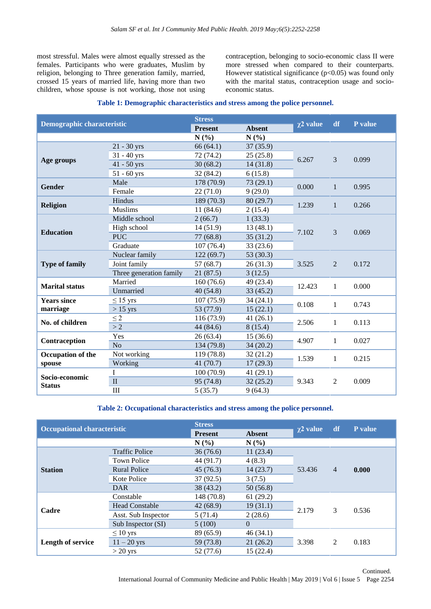most stressful. Males were almost equally stressed as the females. Participants who were graduates, Muslim by religion, belonging to Three generation family, married, crossed 15 years of married life, having more than two children, whose spouse is not working, those not using contraception, belonging to socio-economic class II were more stressed when compared to their counterparts. However statistical significance  $(p<0.05)$  was found only with the marital status, contraception usage and socioeconomic status.

| <b>Demographic characteristic</b>  |                         | <b>Stress</b>  |               | $\chi$ 2 value | df             | P value |
|------------------------------------|-------------------------|----------------|---------------|----------------|----------------|---------|
|                                    |                         | <b>Present</b> | <b>Absent</b> |                |                |         |
|                                    |                         | N(%)           | N(%)          |                |                |         |
|                                    | $21 - 30$ yrs           | 66(64.1)       | 37(35.9)      |                | 3              | 0.099   |
|                                    | $31 - 40$ yrs           | 72(74.2)       | 25(25.8)      | 6.267          |                |         |
| Age groups                         | $41 - 50$ yrs           | 30(68.2)       | 14(31.8)      |                |                |         |
|                                    | $51 - 60$ yrs           | 32 (84.2)      | 6(15.8)       |                |                |         |
| <b>Gender</b>                      | Male                    | 178 (70.9)     | 73(29.1)      | 0.000          | $\mathbf{1}$   | 0.995   |
|                                    | Female                  | 22(71.0)       | 9(29.0)       |                |                |         |
|                                    | Hindus                  | 189 (70.3)     | 80(29.7)      | 1.239          | $\mathbf{1}$   | 0.266   |
| <b>Religion</b>                    | <b>Muslims</b>          | 11(84.6)       | 2(15.4)       |                |                |         |
|                                    | Middle school           | 2(66.7)        | 1(33.3)       |                | 3              | 0.069   |
|                                    | High school             | 14(51.9)       | 13(48.1)      |                |                |         |
| <b>Education</b>                   | <b>PUC</b>              | 77(68.8)       | 35(31.2)      | 7.102          |                |         |
|                                    | Graduate                | 107(76.4)      | 33(23.6)      |                |                |         |
|                                    | Nuclear family          | 122(69.7)      | 53 (30.3)     | 3.525          | 2              | 0.172   |
| <b>Type of family</b>              | Joint family            | 57 (68.7)      | 26(31.3)      |                |                |         |
|                                    | Three generation family | 21 (87.5)      | 3(12.5)       |                |                |         |
| <b>Marital status</b>              | Married                 | 160(76.6)      | 49 (23.4)     |                | $\mathbf{1}$   | 0.000   |
|                                    | Unmarried               | 40(54.8)       | 33(45.2)      | 12.423         |                |         |
| <b>Years since</b>                 | $\leq$ 15 yrs           | 107(75.9)      | 34(24.1)      | 0.108          | $\mathbf{1}$   | 0.743   |
| marriage                           | $>15$ yrs               | 53 (77.9)      | 15(22.1)      |                |                |         |
|                                    | $\leq$ 2                | 116 (73.9)     | 41(26.1)      | 2.506          | $\mathbf{1}$   | 0.113   |
| No. of children                    | >2                      | 44 (84.6)      | 8(15.4)       |                |                |         |
|                                    | Yes                     | 26(63.4)       | 15(36.6)      | 4.907          | $\mathbf{1}$   | 0.027   |
| Contraception                      | N <sub>o</sub>          | 134 (79.8)     | 34(20.2)      |                |                |         |
| <b>Occupation of the</b><br>spouse | Not working             | 119 (78.8)     | 32(21.2)      | 1.539          | $\mathbf{1}$   | 0.215   |
|                                    | Working                 | 41(70.7)       | 17(29.3)      |                |                |         |
| Socio-economic<br><b>Status</b>    | $\mathbf I$             | 100(70.9)      | 41 (29.1)     |                |                | 0.009   |
|                                    | $\rm II$                | 95 (74.8)      | 32(25.2)      | 9.343          | $\overline{2}$ |         |
|                                    | III                     | 5(35.7)        | 9(64.3)       |                |                |         |

#### **Table 1: Demographic characteristics and stress among the police personnel.**

#### **Table 2: Occupational characteristics and stress among the police personnel.**

| <b>Occupational characteristic</b> |                       | <b>Stress</b>  |               |                |                |         |
|------------------------------------|-----------------------|----------------|---------------|----------------|----------------|---------|
|                                    |                       | <b>Present</b> | <b>Absent</b> | $\chi$ 2 value | df             | P value |
|                                    |                       | N(%)           | N(%)          |                |                |         |
|                                    | <b>Traffic Police</b> | 36(76.6)       | 11(23.4)      | 53.436         | $\overline{4}$ | 0.000   |
|                                    | <b>Town Police</b>    | 44 (91.7)      | 4(8.3)        |                |                |         |
| <b>Station</b>                     | <b>Rural Police</b>   | 45(76.3)       | 14(23.7)      |                |                |         |
|                                    | Kote Police           | 37(92.5)       | 3(7.5)        |                |                |         |
|                                    | <b>DAR</b>            | 38 (43.2)      | 50(56.8)      |                |                |         |
|                                    | Constable             | 148 (70.8)     | 61(29.2)      |                | 3              | 0.536   |
| Cadre                              | <b>Head Constable</b> | 42(68.9)       | 19(31.1)      | 2.179          |                |         |
|                                    | Asst. Sub Inspector   | 5(71.4)        | 2(28.6)       |                |                |         |
|                                    | Sub Inspector (SI)    | 5(100)         | $\Omega$      |                |                |         |
| Length of service                  | $\leq 10$ yrs         | 89 (65.9)      | 46(34.1)      |                | 2              | 0.183   |
|                                    | $11 - 20$ yrs         | 59 (73.8)      | 21(26.2)      | 3.398          |                |         |
|                                    | $>$ 20 yrs            | 52 (77.6)      | 15(22.4)      |                |                |         |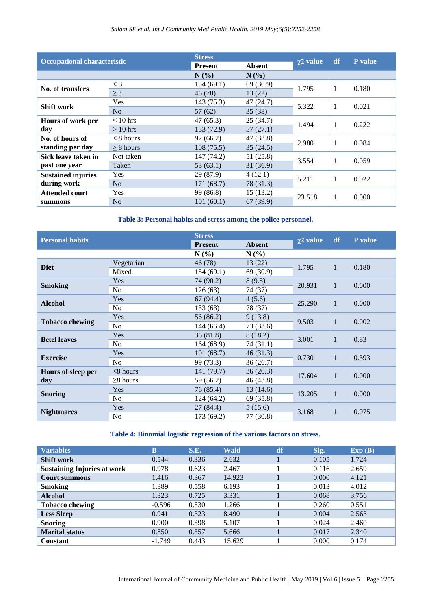## *Salam SF et al. Int J Community Med Public Health. 2019 May;6(5):2252-2258*

| <b>Occupational characteristic</b>       |                | <b>Stress</b>  |               | $\chi$ 2 value | df | P value |
|------------------------------------------|----------------|----------------|---------------|----------------|----|---------|
|                                          |                | <b>Present</b> | <b>Absent</b> |                |    |         |
|                                          |                | N(%)           | N(%)          |                |    |         |
|                                          | $\lt$ 3        | 154 (69.1)     | 69 (30.9)     | 1.795          | 1  | 0.180   |
| No. of transfers                         | $\geq$ 3       | 46(78)         | 13(22)        |                |    |         |
|                                          | <b>Yes</b>     | 143 (75.3)     | 47(24.7)      | 5.322          |    | 0.021   |
| Shift work                               | No             | 57(62)         | 35(38)        |                |    |         |
| Hours of work per<br>day                 | $\leq 10$ hrs  | 47(65.3)       | 25(34.7)      | 1.494          | 1  | 0.222   |
|                                          | $>10$ hrs      | 153 (72.9)     | 57(27.1)      |                |    |         |
| No. of hours of                          | $< 8$ hours    | 92(66.2)       | 47 (33.8)     |                |    | 0.084   |
| standing per day                         | $> 8$ hours    | 108(75.5)      | 35(24.5)      | 2.980          |    |         |
| Sick leave taken in                      | Not taken      | 147 (74.2)     | 51 (25.8)     |                | 1  | 0.059   |
| past one year                            | Taken          | 53(63.1)       | 31(36.9)      | 3.554          |    |         |
| <b>Sustained injuries</b><br>during work | Yes            | 29 (87.9)      | 4(12.1)       |                | 1  | 0.022   |
|                                          | N <sub>o</sub> | 171(68.7)      | 78 (31.3)     | 5.211          |    |         |
| <b>Attended court</b>                    | Yes            | 99 (86.8)      | 15(13.2)      |                |    |         |
| summons                                  | N <sub>0</sub> | 101(60.1)      | 67(39.9)      | 23.518         |    | 0.000   |

# **Table 3: Personal habits and stress among the police personnel.**

| <b>Personal habits</b>    |                | <b>Stress</b>  |               | $\chi$ 2 value | df           | P value |
|---------------------------|----------------|----------------|---------------|----------------|--------------|---------|
|                           |                | <b>Present</b> | <b>Absent</b> |                |              |         |
|                           |                | N(%)           | N(%)          |                |              |         |
| <b>Diet</b>               | Vegetarian     | 46 (78)        | 13(22)        | 1.795          | $\mathbf{1}$ | 0.180   |
|                           | Mixed          | 154(69.1)      | 69 (30.9)     |                |              |         |
|                           | <b>Yes</b>     | 74 (90.2)      | 8(9.8)        |                | $\mathbf{1}$ | 0.000   |
| <b>Smoking</b>            | N <sub>o</sub> | 126(63)        | 74 (37)       | 20.931         |              |         |
| <b>Alcohol</b>            | Yes            | 67(94.4)       | 4(5.6)        | 25.290         | $\mathbf{1}$ | 0.000   |
|                           | N <sub>o</sub> | 133 (63)       | 78 (37)       |                |              |         |
| <b>Tobacco chewing</b>    | Yes            | 56 (86.2)      | 9(13.8)       | 9.503          | 1            | 0.002   |
|                           | N <sub>o</sub> | 144 (66.4)     | 73 (33.6)     |                |              |         |
| <b>Betel leaves</b>       | Yes            | 36(81.8)       | 8(18.2)       | 3.001          | 1            | 0.83    |
|                           | N <sub>0</sub> | 164 (68.9)     | 74 (31.1)     |                |              |         |
| <b>Exercise</b>           | Yes            | 101(68.7)      | 46(31.3)      | 0.730          | $\mathbf{1}$ | 0.393   |
|                           | N <sub>o</sub> | 99 (73.3)      | 36(26.7)      |                |              |         |
| Hours of sleep per<br>day | $<$ 8 hours    | 141 (79.7)     | 36(20.3)      | 17.604         | $\mathbf{1}$ | 0.000   |
|                           | $\geq$ 8 hours | 59 (56.2)      | 46(43.8)      |                |              |         |
| <b>Snoring</b>            | <b>Yes</b>     | 76 (85.4)      | 13(14.6)      | 13.205         | $\mathbf{1}$ | 0.000   |
|                           | N <sub>0</sub> | 124 (64.2)     | 69 (35.8)     |                |              |         |
| <b>Nightmares</b>         | <b>Yes</b>     | 27(84.4)       | 5(15.6)       | 3.168<br>1     |              | 0.075   |
|                           | N <sub>0</sub> | 173 (69.2)     | 77 (30.8)     |                |              |         |

## **Table 4: Binomial logistic regression of the various factors on stress.**

| <b>Variables</b>                   | B        | S.E.  | <b>Wald</b> | df | Sig.  | Exp(B) |
|------------------------------------|----------|-------|-------------|----|-------|--------|
| <b>Shift work</b>                  | 0.544    | 0.336 | 2.632       |    | 0.105 | 1.724  |
| <b>Sustaining Injuries at work</b> | 0.978    | 0.623 | 2.467       |    | 0.116 | 2.659  |
| <b>Court summons</b>               | 1.416    | 0.367 | 14.923      |    | 0.000 | 4.121  |
| <b>Smoking</b>                     | 1.389    | 0.558 | 6.193       |    | 0.013 | 4.012  |
| <b>Alcohol</b>                     | 1.323    | 0.725 | 3.331       |    | 0.068 | 3.756  |
| <b>Tobacco chewing</b>             | $-0.596$ | 0.530 | 1.266       |    | 0.260 | 0.551  |
| <b>Less Sleep</b>                  | 0.941    | 0.323 | 8.490       |    | 0.004 | 2.563  |
| <b>Snoring</b>                     | 0.900    | 0.398 | 5.107       |    | 0.024 | 2.460  |
| <b>Marital status</b>              | 0.850    | 0.357 | 5.666       |    | 0.017 | 2.340  |
| <b>Constant</b>                    | $-1.749$ | 0.443 | 15.629      |    | 0.000 | 0.174  |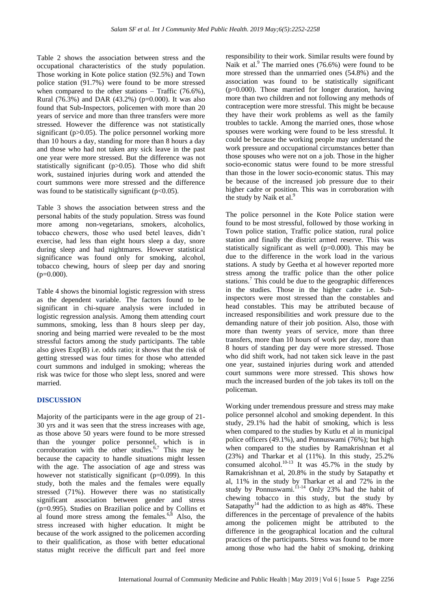Table 2 shows the association between stress and the occupational characteristics of the study population. Those working in Kote police station (92.5%) and Town police station (91.7%) were found to be more stressed when compared to the other stations – Traffic  $(76.6\%)$ , Rural (76.3%) and DAR (43.2%) ( $p=0.000$ ). It was also found that Sub-Inspectors, policemen with more than 20 years of service and more than three transfers were more stressed. However the difference was not statistically significant (p>0.05). The police personnel working more than 10 hours a day, standing for more than 8 hours a day and those who had not taken any sick leave in the past one year were more stressed. But the difference was not statistically significant (p>0.05). Those who did shift work, sustained injuries during work and attended the court summons were more stressed and the difference was found to be statistically significant  $(p<0.05)$ .

Table 3 shows the association between stress and the personal habits of the study population. Stress was found more among non-vegetarians, smokers, alcoholics, tobacco chewers, those who used betel leaves, didn't exercise, had less than eight hours sleep a day, snore during sleep and had nightmares. However statistical significance was found only for smoking, alcohol, tobacco chewing, hours of sleep per day and snoring  $(p=0.000)$ .

Table 4 shows the binomial logistic regression with stress as the dependent variable. The factors found to be significant in chi-square analysis were included in logistic regression analysis. Among them attending court summons, smoking, less than 8 hours sleep per day, snoring and being married were revealed to be the most stressful factors among the study participants. The table also gives Exp(B) i.e. odds ratio; it shows that the risk of getting stressed was four times for those who attended court summons and indulged in smoking; whereas the risk was twice for those who slept less, snored and were married.

# **DISCUSSION**

Majority of the participants were in the age group of 21- 30 yrs and it was seen that the stress increases with age, as those above 50 years were found to be more stressed than the younger police personnel, which is in corroboration with the other studies. 6,7 This may be because the capacity to handle situations might lessen with the age. The association of age and stress was however not statistically significant (p=0.099). In this study, both the males and the females were equally stressed (71%). However there was no statistically significant association between gender and stress (p=0.995). Studies on Brazilian police and by Collins et al found more stress among the females. $6,8$  Also, the stress increased with higher education. It might be because of the work assigned to the policemen according to their qualification, as those with better educational status might receive the difficult part and feel more responsibility to their work. Similar results were found by Naik et al.<sup>9</sup> The married ones (76.6%) were found to be more stressed than the unmarried ones (54.8%) and the association was found to be statistically significant (p=0.000). Those married for longer duration, having more than two children and not following any methods of contraception were more stressful. This might be because they have their work problems as well as the family troubles to tackle. Among the married ones, those whose spouses were working were found to be less stressful. It could be because the working people may understand the work pressure and occupational circumstances better than those spouses who were not on a job. Those in the higher socio-economic status were found to be more stressful than those in the lower socio-economic status. This may be because of the increased job pressure due to their higher cadre or position. This was in corroboration with the study by Naik et al.<sup>9</sup>

The police personnel in the Kote Police station were found to be most stressful, followed by those working in Town police station, Traffic police station, rural police station and finally the district armed reserve. This was statistically significant as well (p=0.000). This may be due to the difference in the work load in the various stations. A study by Geetha et al however reported more stress among the traffic police than the other police stations.<sup>7</sup> This could be due to the geographic differences in the studies. Those in the higher cadre i.e. Subinspectors were most stressed than the constables and head constables. This may be attributed because of increased responsibilities and work pressure due to the demanding nature of their job position. Also, those with more than twenty years of service, more than three transfers, more than 10 hours of work per day, more than 8 hours of standing per day were more stressed. Those who did shift work, had not taken sick leave in the past one year, sustained injuries during work and attended court summons were more stressed. This shows how much the increased burden of the job takes its toll on the policeman.

Working under tremendous pressure and stress may make police personnel alcohol and smoking dependent. In this study, 29.1% had the habit of smoking, which is less when compared to the studies by Kutlu et al in municipal police officers (49.1%), and Ponnuswami (76%); but high when compared to the studies by Ramakrishnan et al (23%) and Tharkar et al (11%). In this study, 25.2% consumed alcohol.<sup>10-13</sup> It was  $45.7\%$  in the study by Ramakrishnan et al, 20.8% in the study by Satapathy et al, 11% in the study by Tharkar et al and 72% in the study by Ponnuswami.<sup>11-14</sup> Only 23% had the habit of chewing tobacco in this study, but the study by Satapathy<sup>14</sup> had the addiction to as high as  $48\%$ . These differences in the percentage of prevalence of the habits among the policemen might be attributed to the difference in the geographical location and the cultural practices of the participants. Stress was found to be more among those who had the habit of smoking, drinking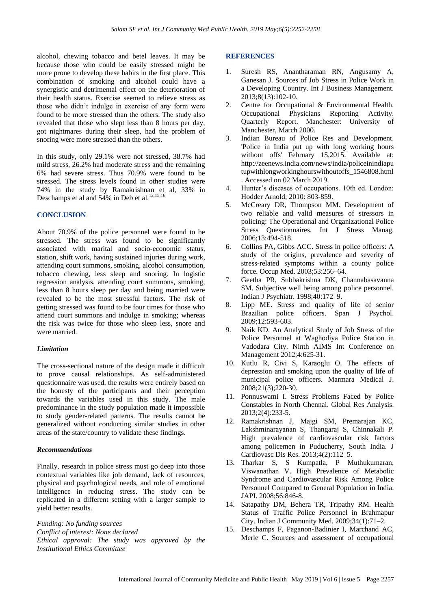alcohol, chewing tobacco and betel leaves. It may be because those who could be easily stressed might be more prone to develop these habits in the first place. This combination of smoking and alcohol could have a synergistic and detrimental effect on the deterioration of their health status. Exercise seemed to relieve stress as those who didn't indulge in exercise of any form were found to be more stressed than the others. The study also revealed that those who slept less than 8 hours per day, got nightmares during their sleep, had the problem of snoring were more stressed than the others.

In this study, only 29.1% were not stressed, 38.7% had mild stress, 26.2% had moderate stress and the remaining 6% had severe stress. Thus 70.9% were found to be stressed. The stress levels found in other studies were 74% in the study by Ramakrishnan et al, 33% in Deschamps et al and 54% in Deb et al.<sup>12,15,16</sup>

#### **CONCLUSION**

About 70.9% of the police personnel were found to be stressed. The stress was found to be significantly associated with marital and socio-economic status, station, shift work, having sustained injuries during work, attending court summons, smoking, alcohol consumption, tobacco chewing, less sleep and snoring. In logistic regression analysis, attending court summons, smoking, less than 8 hours sleep per day and being married were revealed to be the most stressful factors. The risk of getting stressed was found to be four times for those who attend court summons and indulge in smoking; whereas the risk was twice for those who sleep less, snore and were married.

#### *Limitation*

The cross-sectional nature of the design made it difficult to prove causal relationships. As self-administered questionnaire was used, the results were entirely based on the honesty of the participants and their perception towards the variables used in this study. The male predominance in the study population made it impossible to study gender-related patterns. The results cannot be generalized without conducting similar studies in other areas of the state/country to validate these findings.

#### *Recommendations*

Finally, research in police stress must go deep into those contextual variables like job demand, lack of resources, physical and psychological needs, and role of emotional intelligence in reducing stress. The study can be replicated in a different setting with a larger sample to yield better results.

*Funding: No funding sources Conflict of interest: None declared Ethical approval: The study was approved by the Institutional Ethics Committee*

#### **REFERENCES**

- 1. Suresh RS, Anantharaman RN, Angusamy A, Ganesan J. Sources of Job Stress in Police Work in a Developing Country. Int J Business Management. 2013;8(13):102-10.
- 2. Centre for Occupational & Environmental Health. Occupational Physicians Reporting Activity. Quarterly Report. Manchester: University of Manchester, March 2000.
- 3. Indian Bureau of Police Res and Development. 'Police in India put up with long working hours without offs' February 15,2015. Available at: http://zeenews.india.com/news/india/policeinindiapu tupwithlongworkinghourswithoutoffs\_1546808.html . Accessed on 02 March 2019.
- 4. Hunter's diseases of occupations. 10th ed. London: Hodder Arnold; 2010: 803-859.
- 5. McCreary DR, Thompson MM. Development of two reliable and valid measures of stressors in policing: The Operational and Organizational Police Stress Ouestionnaires. Int J Stress Manag. 2006;13:494-518.
- 6. Collins PA, Gibbs ACC. Stress in police officers: A study of the origins, prevalence and severity of stress-related symptoms within a county police force. Occup Med. 2003;53:256–64.
- 7. Geetha PR, Subbakrishna DK, Channabasavanna SM. Subjective well being among police personnel. Indian J Psychiatr. 1998;40:172–9.
- 8. Lipp ME. Stress and quality of life of senior Brazilian police officers. Span J Psychol. 2009;12:593-603.
- 9. Naik KD. An Analytical Study of Job Stress of the Police Personnel at Waghodiya Police Station in Vadodara City. Ninth AIMS Int Conference on Management 2012;4:625-31.
- 10. Kutlu R, Civi S, Karaoglu O. The effects of depression and smoking upon the quality of life of municipal police officers. Marmara Medical J. 2008;21(3);220-30.
- 11. Ponnuswami I. Stress Problems Faced by Police Constables in North Chennai. Global Res Analysis. 2013;2(4):233-5.
- 12. Ramakrishnan J, Majgi SM, Premarajan KC, Lakshminarayanan S, Thangaraj S, Chinnakali P. High prevalence of cardiovascular risk factors among policemen in Puducherry, South India. J Cardiovasc Dis Res. 2013;4(2):112–5.
- 13. Tharkar S, S Kumpatla, P Muthukumaran, Viswanathan V. High Prevalence of Metabolic Syndrome and Cardiovascular Risk Among Police Personnel Compared to General Population in India. JAPI. 2008;56:846-8.
- 14. Satapathy DM, Behera TR, Tripathy RM. Health Status of Traffic Police Personnel in Brahmapur City. Indian J Community Med. 2009;34(1):71–2.
- 15. Deschamps F, Paganon-Badinier I, Marchand AC, Merle C. Sources and assessment of occupational